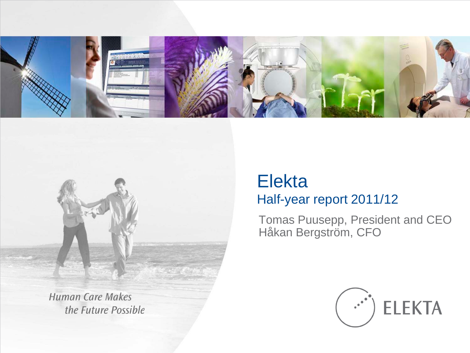



**Human Care Makes** the Future Possible

#### Elekta Half-year report 2011/12

Tomas Puusepp, President and CEO Håkan Bergström, CFO

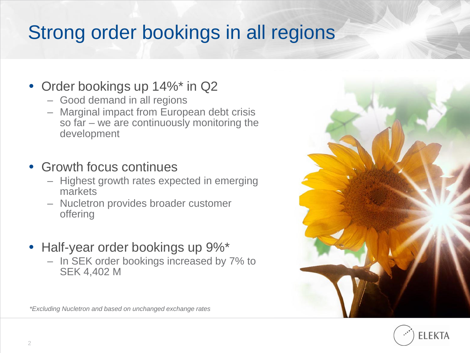## Strong order bookings in all regions

#### • Order bookings up 14%\* in Q2

- Good demand in all regions
- Marginal impact from European debt crisis so far – we are continuously monitoring the development

#### • Growth focus continues

- Highest growth rates expected in emerging markets
- Nucletron provides broader customer offering
- Half-year order bookings up  $9\%$ \*
	- In SEK order bookings increased by 7% to SEK 4,402 M



FI FKTA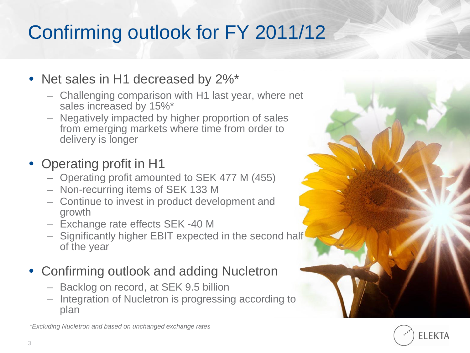# Confirming outlook for FY 2011/12

#### • Net sales in H1 decreased by 2%\*

- Challenging comparison with H1 last year, where net sales increased by 15%\*
- Negatively impacted by higher proportion of sales from emerging markets where time from order to delivery is longer

#### • Operating profit in H1

- Operating profit amounted to SEK 477 M (455)
- Non-recurring items of SEK 133 M
- Continue to invest in product development and growth
- Exchange rate effects SEK -40 M
- Significantly higher EBIT expected in the second half of the year
- Confirming outlook and adding Nucletron
	- Backlog on record, at SEK 9.5 billion
	- Integration of Nucletron is progressing according to plan



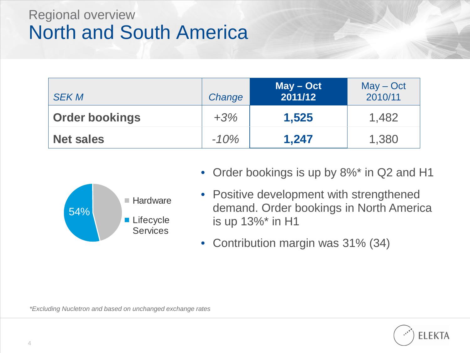### Regional overview North and South America

| <b>SEK M</b>          | Change | $May - Oct$<br>2011/12 | $May - Oct$<br>2010/11 |
|-----------------------|--------|------------------------|------------------------|
| <b>Order bookings</b> | $+3%$  | 1,525                  | 1,482                  |
| <b>Net sales</b>      | $-10%$ | 1,247                  | 1,380                  |



- Order bookings is up by 8%\* in Q2 and H1
- Positive development with strengthened demand. Order bookings in North America is up 13%\* in H1
- Contribution margin was 31% (34)

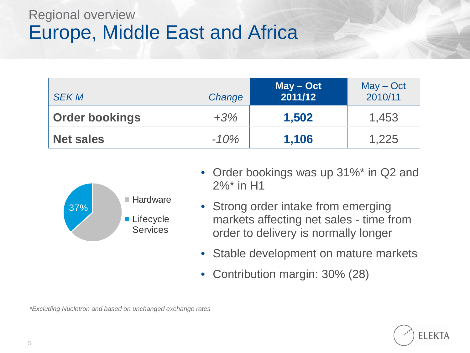#### Regional overview Europe, Middle East and Africa

| <b>SEK M</b>          | Change | $May - Oct$<br>2011/12 | $May - Oct$<br>2010/11 |
|-----------------------|--------|------------------------|------------------------|
| <b>Order bookings</b> | $+3%$  | 1,502                  | 1,453                  |
| <b>Net sales</b>      | $-10%$ | 1,106                  | 1,225                  |



- Order bookings was up 31%\* in Q2 and 2%\* in H1
- Strong order intake from emerging markets affecting net sales - time from order to delivery is normally longer
- Stable development on mature markets
- Contribution margin: 30% (28)

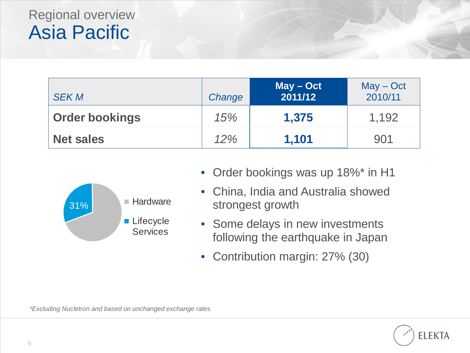### Regional overview Asia Pacific

| <b>SEK M</b>          | Change | $May - Oct$<br>2011/12 | $May - Oct$<br>2010/11 |
|-----------------------|--------|------------------------|------------------------|
| <b>Order bookings</b> | 15%    | 1,375                  | 1,192                  |
| <b>Net sales</b>      | 12%    | 1,101                  | 901                    |



- Order bookings was up 18%\* in H1
- China, India and Australia showed strongest growth
- Some delays in new investments following the earthquake in Japan
- Contribution margin: 27% (30)

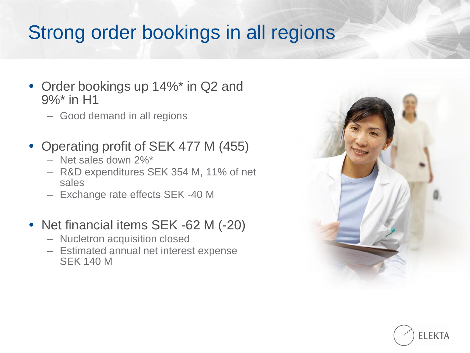## Strong order bookings in all regions

- Order bookings up 14%\* in Q2 and 9%\* in H1
	- Good demand in all regions
- Operating profit of SEK 477 M (455)
	- Net sales down 2%\*
	- R&D expenditures SEK 354 M, 11% of net sales
	- Exchange rate effects SEK -40 M
- Net financial items SEK -62 M (-20)
	- Nucletron acquisition closed
	- Estimated annual net interest expense SEK 140 M



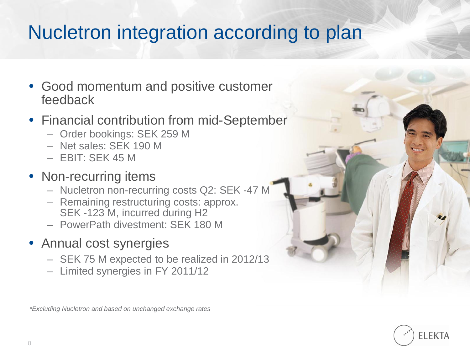## Nucletron integration according to plan

- Good momentum and positive customer feedback
- Financial contribution from mid-September
	- Order bookings: SEK 259 M
	- Net sales: SEK 190 M
	- EBIT: SEK 45 M

#### • Non-recurring items

- Nucletron non-recurring costs Q2: SEK -47 M
- Remaining restructuring costs: approx. SEK -123 M, incurred during H2
- PowerPath divestment: SEK 180 M
- Annual cost synergies
	- SEK 75 M expected to be realized in 2012/13
	- Limited synergies in FY 2011/12

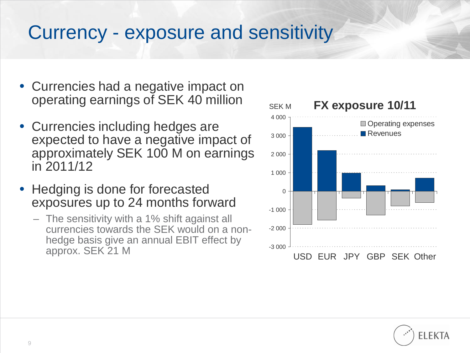### Currency - exposure and sensitivity

- Currencies had a negative impact on operating earnings of SEK 40 million
- Currencies including hedges are expected to have a negative impact of approximately SEK 100 M on earnings in 2011/12
- Hedging is done for forecasted exposures up to 24 months forward
	- The sensitivity with a 1% shift against all currencies towards the SEK would on a nonhedge basis give an annual EBIT effect by approx. SEK 21 M



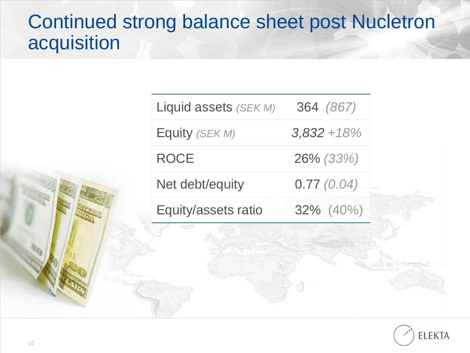### Continued strong balance sheet post Nucletron acquisition

| Equity (SEK M)<br>$3,832 + 18\%$ |
|----------------------------------|
|                                  |
| <b>ROCE</b><br>26% (33%)         |
| 0.77(0.04)<br>Net debt/equity    |
| 32% (40%)<br>Equity/assets ratio |

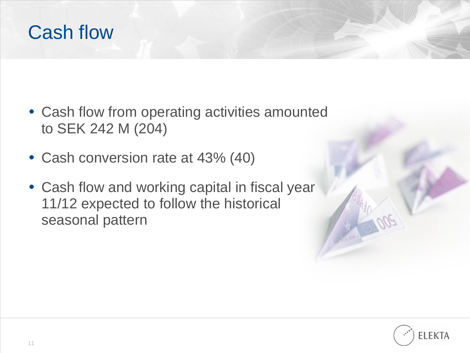### Cash flow

- Cash flow from operating activities amounted to SEK 242 M (204)
- Cash conversion rate at 43% (40)
- Cash flow and working capital in fiscal year 11/12 expected to follow the historical seasonal pattern

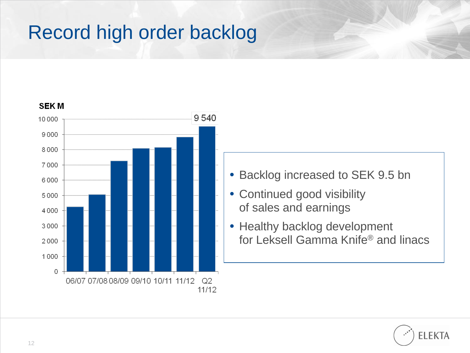# Record high order backlog



- Backlog increased to SEK 9.5 bn
- Continued good visibility of sales and earnings
- Healthy backlog development for Leksell Gamma Knife® and linacs

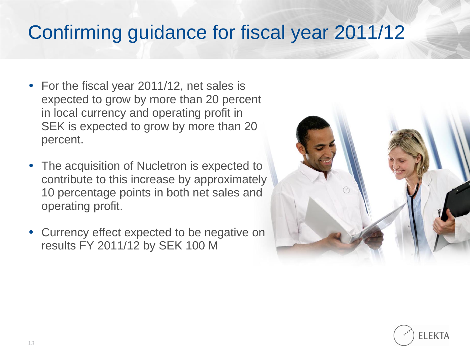## Confirming guidance for fiscal year 2011/12

- For the fiscal year 2011/12, net sales is expected to grow by more than 20 percent in local currency and operating profit in SEK is expected to grow by more than 20 percent.
- The acquisition of Nucletron is expected to contribute to this increase by approximately 10 percentage points in both net sales and operating profit.
- Currency effect expected to be negative on results FY 2011/12 by SEK 100 M